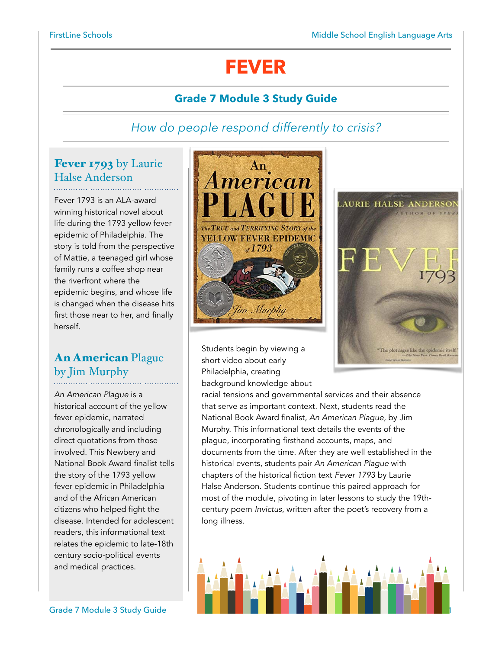# **FEVER**

## **Grade 7 Module 3 Study Guide**

## *How do people respond differently to crisis?*

## Fever 1793 by Laurie Halse Anderson

Fever 1793 is an ALA-award winning historical novel about life during the 1793 yellow fever epidemic of Philadelphia. The story is told from the perspective of Mattie, a teenaged girl whose family runs a coffee shop near the riverfront where the epidemic begins, and whose life is changed when the disease hits first those near to her, and finally herself.

## An American Plague by Jim Murphy

*An American Plague* is a historical account of the yellow fever epidemic, narrated chronologically and including direct quotations from those involved. This Newbery and National Book Award finalist tells the story of the 1793 yellow fever epidemic in Philadelphia and of the African American citizens who helped fight the disease. Intended for adolescent readers, this informational text relates the epidemic to late-18th century socio-political events and medical practices.





Students begin by viewing a short video about early Philadelphia, creating background knowledge about

racial tensions and governmental services and their absence that serve as important context. Next, students read the National Book Award finalist, *An American Plague*, by Jim Murphy. This informational text details the events of the plague, incorporating firsthand accounts, maps, and documents from the time. After they are well established in the historical events, students pair *An American Plague* with chapters of the historical fiction text *Fever 1793* by Laurie Halse Anderson. Students continue this paired approach for most of the module, pivoting in later lessons to study the 19thcentury poem *Invictus*, written after the poet's recovery from a long illness.

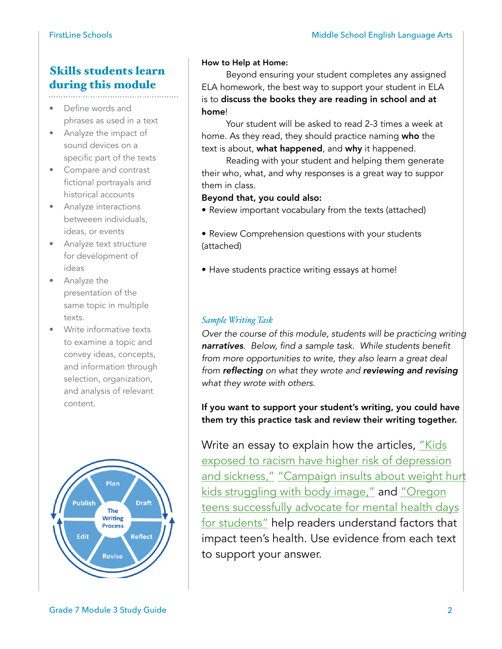## Skills students learn during this module

- Define words and phrases as used in a text
- Analyze the impact of sound devices on a specific part of the texts
- Compare and contrast fictional portrayals and historical accounts
- Analyze interactions betweeen individuals, ideas, or events
- Analyze text structure for development of ideas
- Analyze the presentation of the same topic in multiple texts.
- Write informative texts to examine a topic and convey ideas, concepts, and information through selection, organization, and analysis of relevant content.



#### How to Help at Home:

 Beyond ensuring your student completes any assigned ELA homework, the best way to support your student in ELA is to discuss the books they are reading in school and at home!

 Your student will be asked to read 2-3 times a week at home. As they read, they should practice naming who the text is about, what happened, and why it happened.

 Reading with your student and helping them generate their who, what, and why responses is a great way to suppor them in class.

#### Beyond that, you could also:

- Review important vocabulary from the texts (attached)
- Review Comprehension questions with your students (attached)
- Have students practice writing essays at home!

#### *Sample Writing Task*

*Over the course of this module, students will be practicing writing narratives. Below, find a sample task. While students benefit from more opportunities to write, they also learn a great deal from reflecting on what they wrote and reviewing and revising what they wrote with others.* 

If you want to support your student's writing, you could have them try this practice task and review their writing together.

Write an essay to explain how the articles, "Kids" [exposed to racism have higher risk of depression](https://newsela.com/read/racism-kids-health/id/55148/)  [and sickness,"](https://newsela.com/read/racism-kids-health/id/55148/) "Campaign insults about weight hurt [kids struggling with body image,"](https://newsela.com/read/body-image-election/id/22655/) and "Oregon [teens successfully advocate for mental health days](https://newsela.com/read/oregon-students-mental-health/id/54533/) [for students"](https://newsela.com/read/oregon-students-mental-health/id/54533/) help readers understand factors that impact teen's health. Use evidence from each text to support your answer.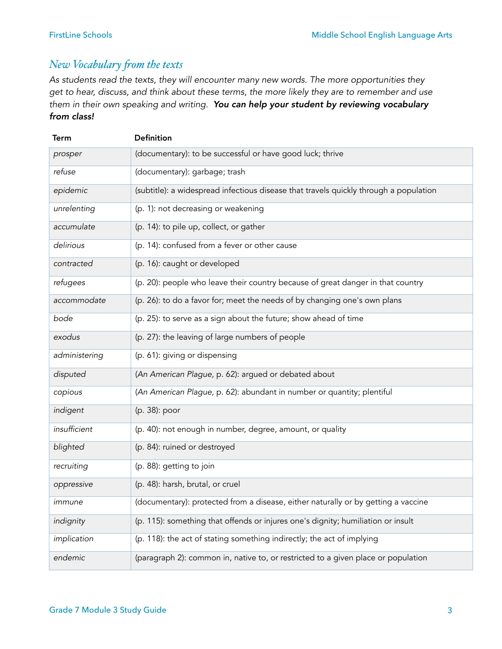### *New Vocabulary fom the texts*

*As students read the texts, they will encounter many new words. The more opportunities they get to hear, discuss, and think about these terms, the more likely they are to remember and use them in their own speaking and writing. You can help your student by reviewing vocabulary from class!*

| Term          | <b>Definition</b>                                                                     |
|---------------|---------------------------------------------------------------------------------------|
| prosper       | (documentary): to be successful or have good luck; thrive                             |
| refuse        | (documentary): garbage; trash                                                         |
| epidemic      | (subtitle): a widespread infectious disease that travels quickly through a population |
| unrelenting   | (p. 1): not decreasing or weakening                                                   |
| accumulate    | (p. 14): to pile up, collect, or gather                                               |
| delirious     | (p. 14): confused from a fever or other cause                                         |
| contracted    | (p. 16): caught or developed                                                          |
| refugees      | (p. 20): people who leave their country because of great danger in that country       |
| accommodate   | (p. 26): to do a favor for; meet the needs of by changing one's own plans             |
| bode          | (p. 25): to serve as a sign about the future; show ahead of time                      |
| exodus        | (p. 27): the leaving of large numbers of people                                       |
| administering | (p. 61): giving or dispensing                                                         |
| disputed      | (An American Plague, p. 62): argued or debated about                                  |
| copious       | (An American Plague, p. 62): abundant in number or quantity; plentiful                |
| indigent      | (p. 38): poor                                                                         |
| insufficient  | (p. 40): not enough in number, degree, amount, or quality                             |
| blighted      | (p. 84): ruined or destroyed                                                          |
| recruiting    | (p. 88): getting to join                                                              |
| oppressive    | (p. 48): harsh, brutal, or cruel                                                      |
| immune        | (documentary): protected from a disease, either naturally or by getting a vaccine     |
| indignity     | (p. 115): something that offends or injures one's dignity; humiliation or insult      |
| implication   | (p. 118): the act of stating something indirectly; the act of implying                |
| endemic       | (paragraph 2): common in, native to, or restricted to a given place or population     |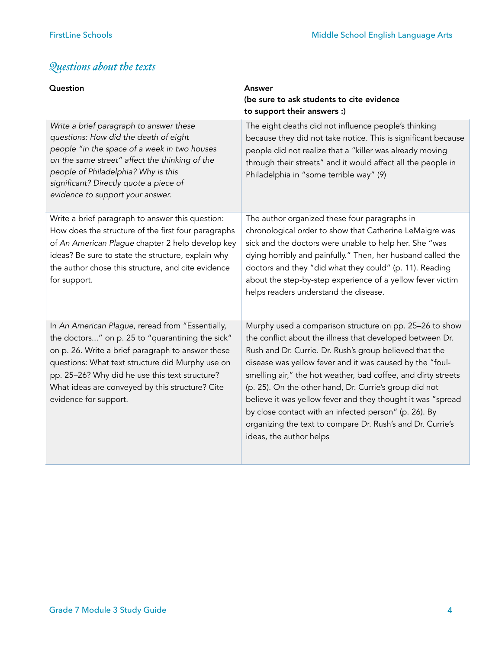# *Questions about the texts*

| Question                                                                                                                                                                                                                                                                                                                                    | Answer<br>(be sure to ask students to cite evidence<br>to support their answers :)                                                                                                                                                                                                                                                                                                                                                                                                                                                                                                      |
|---------------------------------------------------------------------------------------------------------------------------------------------------------------------------------------------------------------------------------------------------------------------------------------------------------------------------------------------|-----------------------------------------------------------------------------------------------------------------------------------------------------------------------------------------------------------------------------------------------------------------------------------------------------------------------------------------------------------------------------------------------------------------------------------------------------------------------------------------------------------------------------------------------------------------------------------------|
| Write a brief paragraph to answer these<br>questions: How did the death of eight<br>people "in the space of a week in two houses<br>on the same street" affect the thinking of the<br>people of Philadelphia? Why is this<br>significant? Directly quote a piece of<br>evidence to support your answer.                                     | The eight deaths did not influence people's thinking<br>because they did not take notice. This is significant because<br>people did not realize that a "killer was already moving<br>through their streets" and it would affect all the people in<br>Philadelphia in "some terrible way" (9)                                                                                                                                                                                                                                                                                            |
| Write a brief paragraph to answer this question:<br>How does the structure of the first four paragraphs<br>of An American Plague chapter 2 help develop key<br>ideas? Be sure to state the structure, explain why<br>the author chose this structure, and cite evidence<br>for support.                                                     | The author organized these four paragraphs in<br>chronological order to show that Catherine LeMaigre was<br>sick and the doctors were unable to help her. She "was<br>dying horribly and painfully." Then, her husband called the<br>doctors and they "did what they could" (p. 11). Reading<br>about the step-by-step experience of a yellow fever victim<br>helps readers understand the disease.                                                                                                                                                                                     |
| In An American Plague, reread from "Essentially,<br>the doctors" on p. 25 to "quarantining the sick"<br>on p. 26. Write a brief paragraph to answer these<br>questions: What text structure did Murphy use on<br>pp. 25-26? Why did he use this text structure?<br>What ideas are conveyed by this structure? Cite<br>evidence for support. | Murphy used a comparison structure on pp. 25-26 to show<br>the conflict about the illness that developed between Dr.<br>Rush and Dr. Currie. Dr. Rush's group believed that the<br>disease was yellow fever and it was caused by the "foul-<br>smelling air," the hot weather, bad coffee, and dirty streets<br>(p. 25). On the other hand, Dr. Currie's group did not<br>believe it was yellow fever and they thought it was "spread<br>by close contact with an infected person" (p. 26). By<br>organizing the text to compare Dr. Rush's and Dr. Currie's<br>ideas, the author helps |